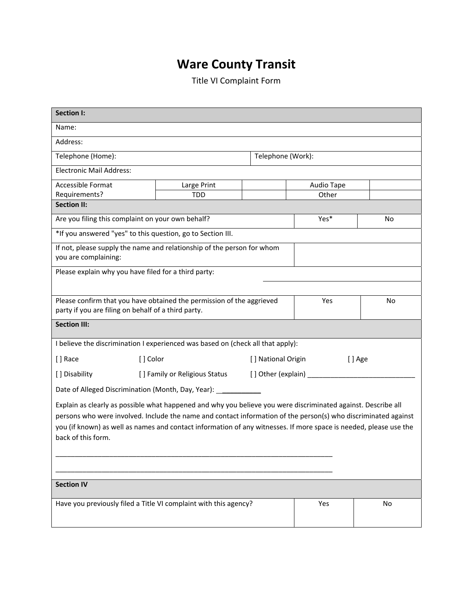## **Ware County Transit**

Title VI Complaint Form

| <b>Section I:</b>                                                                                                                                                                                                                                                                                                                                                          |                                                                    |                   |                  |    |  |
|----------------------------------------------------------------------------------------------------------------------------------------------------------------------------------------------------------------------------------------------------------------------------------------------------------------------------------------------------------------------------|--------------------------------------------------------------------|-------------------|------------------|----|--|
| Name:                                                                                                                                                                                                                                                                                                                                                                      |                                                                    |                   |                  |    |  |
| Address:                                                                                                                                                                                                                                                                                                                                                                   |                                                                    |                   |                  |    |  |
| Telephone (Home):                                                                                                                                                                                                                                                                                                                                                          |                                                                    | Telephone (Work): |                  |    |  |
| <b>Electronic Mail Address:</b>                                                                                                                                                                                                                                                                                                                                            |                                                                    |                   |                  |    |  |
| Accessible Format                                                                                                                                                                                                                                                                                                                                                          | Large Print                                                        |                   | Audio Tape       |    |  |
| Requirements?                                                                                                                                                                                                                                                                                                                                                              | TDD                                                                |                   | Other            |    |  |
| <b>Section II:</b>                                                                                                                                                                                                                                                                                                                                                         |                                                                    |                   |                  |    |  |
| Are you filing this complaint on your own behalf?                                                                                                                                                                                                                                                                                                                          |                                                                    |                   | Yes <sup>*</sup> | No |  |
| *If you answered "yes" to this question, go to Section III.                                                                                                                                                                                                                                                                                                                |                                                                    |                   |                  |    |  |
| If not, please supply the name and relationship of the person for whom<br>you are complaining:                                                                                                                                                                                                                                                                             |                                                                    |                   |                  |    |  |
| Please explain why you have filed for a third party:                                                                                                                                                                                                                                                                                                                       |                                                                    |                   |                  |    |  |
|                                                                                                                                                                                                                                                                                                                                                                            |                                                                    |                   |                  |    |  |
| Please confirm that you have obtained the permission of the aggrieved<br>party if you are filing on behalf of a third party.                                                                                                                                                                                                                                               |                                                                    |                   | Yes              | No |  |
| <b>Section III:</b>                                                                                                                                                                                                                                                                                                                                                        |                                                                    |                   |                  |    |  |
| I believe the discrimination I experienced was based on (check all that apply):                                                                                                                                                                                                                                                                                            |                                                                    |                   |                  |    |  |
| [] Race<br>[] Color<br>[ ] National Origin                                                                                                                                                                                                                                                                                                                                 |                                                                    | [] Age            |                  |    |  |
| [] Disability                                                                                                                                                                                                                                                                                                                                                              | [] Family or Religious Status<br>[] Other (explain) ______________ |                   |                  |    |  |
| Date of Alleged Discrimination (Month, Day, Year): _____________                                                                                                                                                                                                                                                                                                           |                                                                    |                   |                  |    |  |
| Explain as clearly as possible what happened and why you believe you were discriminated against. Describe all<br>persons who were involved. Include the name and contact information of the person(s) who discriminated against<br>you (if known) as well as names and contact information of any witnesses. If more space is needed, please use the<br>back of this form. |                                                                    |                   |                  |    |  |
|                                                                                                                                                                                                                                                                                                                                                                            |                                                                    |                   |                  |    |  |
| <b>Section IV</b>                                                                                                                                                                                                                                                                                                                                                          |                                                                    |                   |                  |    |  |
| Have you previously filed a Title VI complaint with this agency?                                                                                                                                                                                                                                                                                                           |                                                                    |                   | Yes              | No |  |